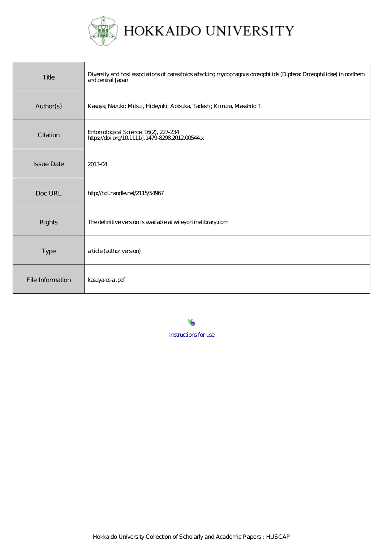

| Title             | Diversity and host associations of parasitoids attacking mycophagous drosophilids (Diptera Drosophilidae) in northern<br>and central Japan |
|-------------------|--------------------------------------------------------------------------------------------------------------------------------------------|
| Author(s)         | Kasuya, Nazuki; Mitsui, Hideyuki; Aotsuka, Tadashi; Kimura, Masahito T.                                                                    |
| Citation          | Entomological Science, 16(2), 227-234<br>https://doi.org/10.1111/j.1479-8298.2012.00544.x                                                  |
| <b>Issue Date</b> | 201304                                                                                                                                     |
| Doc URL           | http://hdl.handle.net/2115/54967                                                                                                           |
| <b>Rights</b>     | The definitive version is available at wileyonlinelibrary.com                                                                              |
| <b>Type</b>       | article (author version)                                                                                                                   |
| File Information  | kasuya-et-al.pdf                                                                                                                           |

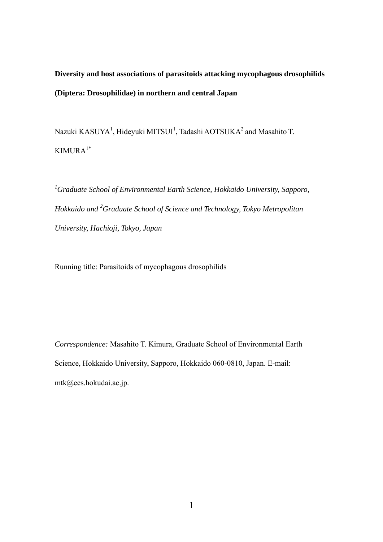# **Diversity and host associations of parasitoids attacking mycophagous drosophilids (Diptera: Drosophilidae) in northern and central Japan**

Nazuki  $KASUYA<sup>1</sup>$ , Hideyuki MITSUI<sup>1</sup>, Tadashi AOTSUKA<sup>2</sup> and Masahito T. KIMURA1\*

<sup>1</sup> Graduate School of Environmental Earth Science, Hokkaido University, Sapporo, *Hokkaido and 2 Graduate School of Science and Technology, Tokyo Metropolitan University, Hachioji, Tokyo, Japan* 

Running title: Parasitoids of mycophagous drosophilids

*Correspondence:* Masahito T. Kimura, Graduate School of Environmental Earth Science, Hokkaido University, Sapporo, Hokkaido 060-0810, Japan. E-mail: mtk@ees.hokudai.ac.jp.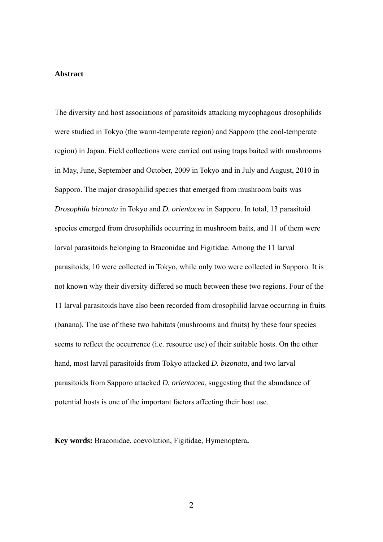#### **Abstract**

The diversity and host associations of parasitoids attacking mycophagous drosophilids were studied in Tokyo (the warm-temperate region) and Sapporo (the cool-temperate region) in Japan. Field collections were carried out using traps baited with mushrooms in May, June, September and October, 2009 in Tokyo and in July and August, 2010 in Sapporo. The major drosophilid species that emerged from mushroom baits was *Drosophila bizonata* in Tokyo and *D. orientacea* in Sapporo. In total, 13 parasitoid species emerged from drosophilids occurring in mushroom baits, and 11 of them were larval parasitoids belonging to Braconidae and Figitidae. Among the 11 larval parasitoids, 10 were collected in Tokyo, while only two were collected in Sapporo. It is not known why their diversity differed so much between these two regions. Four of the 11 larval parasitoids have also been recorded from drosophilid larvae occurring in fruits (banana). The use of these two habitats (mushrooms and fruits) by these four species seems to reflect the occurrence (i.e. resource use) of their suitable hosts. On the other hand, most larval parasitoids from Tokyo attacked *D. bizonata*, and two larval parasitoids from Sapporo attacked *D. orientacea*, suggesting that the abundance of potential hosts is one of the important factors affecting their host use.

**Key words:** Braconidae, coevolution, Figitidae, Hymenoptera**.**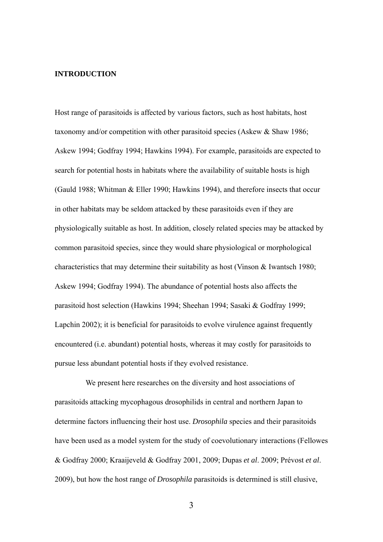# **INTRODUCTION**

Host range of parasitoids is affected by various factors, such as host habitats, host taxonomy and/or competition with other parasitoid species (Askew & Shaw 1986; Askew 1994; Godfray 1994; Hawkins 1994). For example, parasitoids are expected to search for potential hosts in habitats where the availability of suitable hosts is high (Gauld 1988; Whitman & Eller 1990; Hawkins 1994), and therefore insects that occur in other habitats may be seldom attacked by these parasitoids even if they are physiologically suitable as host. In addition, closely related species may be attacked by common parasitoid species, since they would share physiological or morphological characteristics that may determine their suitability as host (Vinson & Iwantsch 1980; Askew 1994; Godfray 1994). The abundance of potential hosts also affects the parasitoid host selection (Hawkins 1994; Sheehan 1994; Sasaki & Godfray 1999; Lapchin 2002); it is beneficial for parasitoids to evolve virulence against frequently encountered (i.e. abundant) potential hosts, whereas it may costly for parasitoids to pursue less abundant potential hosts if they evolved resistance.

We present here researches on the diversity and host associations of parasitoids attacking mycophagous drosophilids in central and northern Japan to determine factors influencing their host use. *Drosophila* species and their parasitoids have been used as a model system for the study of coevolutionary interactions (Fellowes & Godfray 2000; Kraaijeveld & Godfray 2001, 2009; Dupas *et al*. 2009; Prévost *et al*. 2009), but how the host range of *Drosophila* parasitoids is determined is still elusive,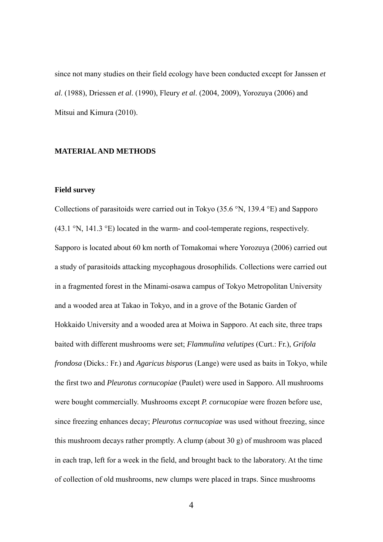since not many studies on their field ecology have been conducted except for Janssen *et al*. (1988), Driessen *et al*. (1990), Fleury *et al*. (2004, 2009), Yorozuya (2006) and Mitsui and Kimura (2010).

### **MATERIAL AND METHODS**

#### **Field survey**

Collections of parasitoids were carried out in Tokyo  $(35.6 \text{°N}, 139.4 \text{°E})$  and Sapporo  $(43.1 \text{°N}, 141.3 \text{°E})$  located in the warm- and cool-temperate regions, respectively. Sapporo is located about 60 km north of Tomakomai where Yorozuya (2006) carried out a study of parasitoids attacking mycophagous drosophilids. Collections were carried out in a fragmented forest in the Minami-osawa campus of Tokyo Metropolitan University and a wooded area at Takao in Tokyo, and in a grove of the Botanic Garden of Hokkaido University and a wooded area at Moiwa in Sapporo. At each site, three traps baited with different mushrooms were set; *Flammulina velutipes* (Curt.: Fr.), *Grifola frondosa* (Dicks.: Fr.) and *Agaricus bisporus* (Lange) were used as baits in Tokyo, while the first two and *Pleurotus cornucopiae* (Paulet) were used in Sapporo. All mushrooms were bought commercially. Mushrooms except *P. cornucopiae* were frozen before use, since freezing enhances decay; *Pleurotus cornucopiae* was used without freezing, since this mushroom decays rather promptly. A clump (about 30 g) of mushroom was placed in each trap, left for a week in the field, and brought back to the laboratory. At the time of collection of old mushrooms, new clumps were placed in traps. Since mushrooms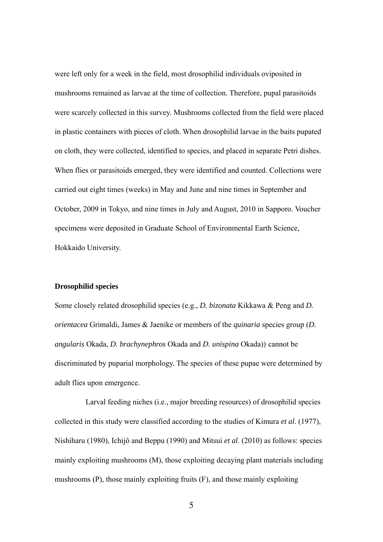were left only for a week in the field, most drosophilid individuals oviposited in mushrooms remained as larvae at the time of collection. Therefore, pupal parasitoids were scarcely collected in this survey. Mushrooms collected from the field were placed in plastic containers with pieces of cloth. When drosophilid larvae in the baits pupated on cloth, they were collected, identified to species, and placed in separate Petri dishes. When flies or parasitoids emerged, they were identified and counted. Collections were carried out eight times (weeks) in May and June and nine times in September and October, 2009 in Tokyo, and nine times in July and August, 2010 in Sapporo. Voucher specimens were deposited in Graduate School of Environmental Earth Science, Hokkaido University.

# **Drosophilid species**

Some closely related drosophilid species (e.g., *D. bizonata* Kikkawa & Peng and *D. orientacea* Grimaldi, James & Jaenike or members of the *quinaria* species group (*D. angularis* Okada, *D. brachynephros* Okada and *D. unispina* Okada)) cannot be discriminated by puparial morphology. The species of these pupae were determined by adult flies upon emergence.

 Larval feeding niches (i.e., major breeding resources) of drosophilid species collected in this study were classified according to the studies of Kimura *et al*. (1977), Nishiharu (1980), Ichijô and Beppu (1990) and Mitsui *et al*. (2010) as follows: species mainly exploiting mushrooms (M), those exploiting decaying plant materials including mushrooms (P), those mainly exploiting fruits (F), and those mainly exploiting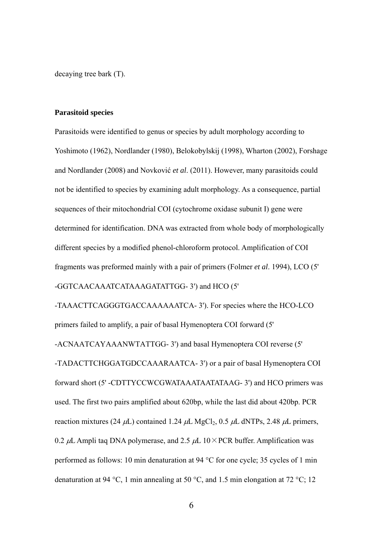decaying tree bark (T).

#### **Parasitoid species**

Parasitoids were identified to genus or species by adult morphology according to Yoshimoto (1962), Nordlander (1980), Belokobylskij (1998), Wharton (2002), Forshage and Nordlander (2008) and Novković *et al*. (2011). However, many parasitoids could not be identified to species by examining adult morphology. As a consequence, partial sequences of their mitochondrial COI (cytochrome oxidase subunit I) gene were determined for identification. DNA was extracted from whole body of morphologically different species by a modified phenol-chloroform protocol. Amplification of COI fragments was preformed mainly with a pair of primers (Folmer *et al*. 1994), LCO (5' -GGTCAACAAATCATAAAGATATTGG- 3') and HCO (5'

-TAAACTTCAGGGTGACCAAAAAATCA- 3'). For species where the HCO-LCO primers failed to amplify, a pair of basal Hymenoptera COI forward (5' -ACNAATCAYAAANWTATTGG- 3') and basal Hymenoptera COI reverse (5' -TADACTTCHGGATGDCCAAARAATCA- 3') or a pair of basal Hymenoptera COI forward short (5' -CDTTYCCWCGWATAAATAATATAAG- 3') and HCO primers was used. The first two pairs amplified about 620bp, while the last did about 420bp. PCR reaction mixtures (24  $\mu$ L) contained 1.24  $\mu$ L MgCl<sub>2</sub>, 0.5  $\mu$ L dNTPs, 2.48  $\mu$ L primers, 0.2  $\mu$ L Ampli tag DNA polymerase, and 2.5  $\mu$ L 10×PCR buffer. Amplification was performed as follows: 10 min denaturation at 94  $\degree$ C for one cycle; 35 cycles of 1 min denaturation at 94 °C, 1 min annealing at 50 °C, and 1.5 min elongation at 72 °C; 12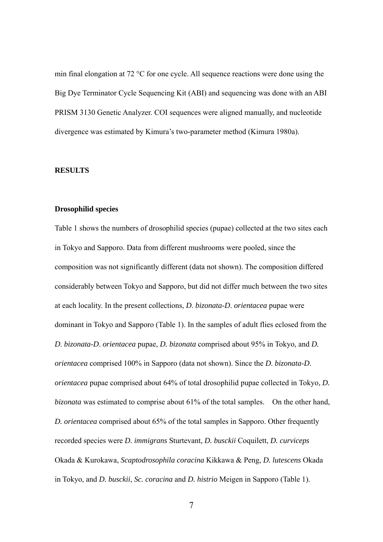min final elongation at  $72 \text{ °C}$  for one cycle. All sequence reactions were done using the Big Dye Terminator Cycle Sequencing Kit (ABI) and sequencing was done with an ABI PRISM 3130 Genetic Analyzer. COI sequences were aligned manually, and nucleotide divergence was estimated by Kimura's two-parameter method (Kimura 1980a).

#### **RESULTS**

# **Drosophilid species**

Table 1 shows the numbers of drosophilid species (pupae) collected at the two sites each in Tokyo and Sapporo. Data from different mushrooms were pooled, since the composition was not significantly different (data not shown). The composition differed considerably between Tokyo and Sapporo, but did not differ much between the two sites at each locality. In the present collections, *D*. *bizonata*-*D*. *orientacea* pupae were dominant in Tokyo and Sapporo (Table 1). In the samples of adult flies eclosed from the *D*. *bizonata*-*D*. *orientacea* pupae, *D. bizonata* comprised about 95% in Tokyo, and *D. orientacea* comprised 100% in Sapporo (data not shown). Since the *D*. *bizonata*-*D*. *orientacea* pupae comprised about 64% of total drosophilid pupae collected in Tokyo, *D. bizonata* was estimated to comprise about 61% of the total samples. On the other hand, *D. orientacea* comprised about 65% of the total samples in Sapporo. Other frequently recorded species were *D. immigrans* Sturtevant, *D. busckii* Coquilett, *D. curviceps* Okada & Kurokawa, *Scaptodrosophila coracina* Kikkawa & Peng, *D. lutescens* Okada in Tokyo, and *D. busckii*, *Sc. coracina* and *D. histrio* Meigen in Sapporo (Table 1).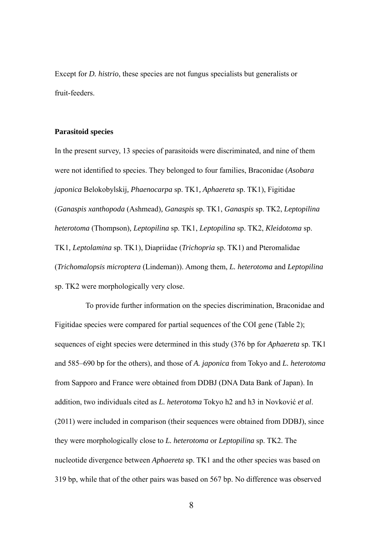Except for *D. histrio*, these species are not fungus specialists but generalists or fruit-feeders.

#### **Parasitoid species**

In the present survey, 13 species of parasitoids were discriminated, and nine of them were not identified to species. They belonged to four families, Braconidae (*Asobara japonica* Belokobylskij*, Phaenocarpa* sp. TK1*, Aphaereta* sp. TK1), Figitidae (*Ganaspis xanthopoda* (Ashmead)*, Ganaspis* sp. TK1, *Ganaspis* sp. TK2, *Leptopilina heterotoma* (Thompson)*, Leptopilina* sp. TK1, *Leptopilina* sp. TK2, *Kleidotoma* sp. TK1*, Leptolamina* sp. TK1), Diapriidae (*Trichopria* sp. TK1) and Pteromalidae (*Trichomalopsis microptera* (Lindeman)). Among them, *L. heterotoma* and *Leptopilina*  sp. TK2 were morphologically very close.

To provide further information on the species discrimination, Braconidae and Figitidae species were compared for partial sequences of the COI gene (Table 2); sequences of eight species were determined in this study (376 bp for *Aphaereta* sp. TK1 and 585–690 bp for the others), and those of *A. japonica* from Tokyo and *L. heterotoma* from Sapporo and France were obtained from DDBJ (DNA Data Bank of Japan). In addition, two individuals cited as *L. heterotoma* Tokyo h2 and h3 in Novković *et al*. (2011) were included in comparison (their sequences were obtained from DDBJ), since they were morphologically close to *L. heterotoma* or *Leptopilina* sp. TK2. The nucleotide divergence between *Aphaereta* sp. TK1 and the other species was based on 319 bp, while that of the other pairs was based on 567 bp. No difference was observed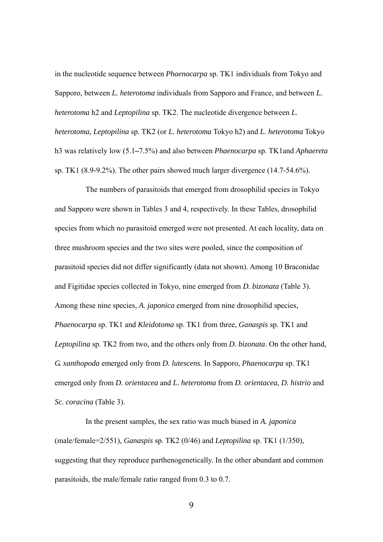in the nucleotide sequence between *Phaenocarpa* sp. TK1 individuals from Tokyo and Sapporo, between *L. heterotoma* individuals from Sapporo and France, and between *L. heterotoma* h2 and *Leptopilina* sp. TK2. The nucleotide divergence between *L. heterotoma, Leptopilina* sp. TK2 (or *L. heterotoma* Tokyo h2) and *L. heterotoma* Tokyo h3 was relatively low (5.1*–*7.5%) and also between *Phaenocarpa* sp. TK1and *Aphaereta* sp. TK1 (8.9-9.2%). The other pairs showed much larger divergence (14.7-54.6%).

The numbers of parasitoids that emerged from drosophilid species in Tokyo and Sapporo were shown in Tables 3 and 4, respectively. In these Tables, drosophilid species from which no parasitoid emerged were not presented. At each locality, data on three mushroom species and the two sites were pooled, since the composition of parasitoid species did not differ significantly (data not shown). Among 10 Braconidae and Figitidae species collected in Tokyo, nine emerged from *D. bizonata* (Table 3). Among these nine species, *A. japonica* emerged from nine drosophilid species, *Phaenocarpa* sp. TK1 and *Kleidotoma* sp. TK1 from three, *Ganaspis* sp. TK1 and *Leptopilina* sp. TK2 from two, and the others only from *D. bizonata*. On the other hand, *G. xanthopoda* emerged only from *D. lutescens*. In Sapporo, *Phaenocarpa* sp. TK1 emerged only from *D. orientacea* and *L. heterotoma* from *D. orientacea*, *D. histrio* and *Sc. coracina* (Table 3).

In the present samples, the sex ratio was much biased in *A. japonica* (male/female=2/551), *Ganaspis* sp. TK2 (0/46) and *Leptopilina* sp. TK1 (1/350), suggesting that they reproduce parthenogenetically. In the other abundant and common parasitoids, the male/female ratio ranged from 0.3 to 0.7.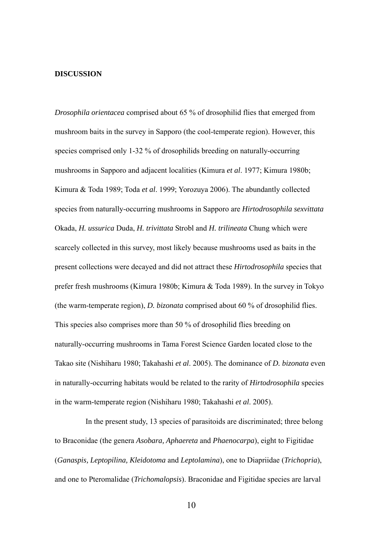#### **DISCUSSION**

*Drosophila orientacea* comprised about 65 % of drosophilid flies that emerged from mushroom baits in the survey in Sapporo (the cool-temperate region). However, this species comprised only 1-32 % of drosophilids breeding on naturally-occurring mushrooms in Sapporo and adjacent localities (Kimura *et al*. 1977; Kimura 1980b; Kimura & Toda 1989; Toda *et al*. 1999; Yorozuya 2006). The abundantly collected species from naturally-occurring mushrooms in Sapporo are *Hirtodrosophila sexvittata* Okada, *H. ussurica* Duda, *H. trivittata* Strobl and *H. trilineata* Chung which were scarcely collected in this survey, most likely because mushrooms used as baits in the present collections were decayed and did not attract these *Hirtodrosophila* species that prefer fresh mushrooms (Kimura 1980b; Kimura & Toda 1989). In the survey in Tokyo (the warm-temperate region), *D. bizonata* comprised about 60 % of drosophilid flies. This species also comprises more than 50 % of drosophilid flies breeding on naturally-occurring mushrooms in Tama Forest Science Garden located close to the Takao site (Nishiharu 1980; Takahashi *et al*. 2005). The dominance of *D. bizonata* even in naturally-occurring habitats would be related to the rarity of *Hirtodrosophila* species in the warm-temperate region (Nishiharu 1980; Takahashi *et al*. 2005).

In the present study, 13 species of parasitoids are discriminated; three belong to Braconidae (the genera *Asobara, Aphaereta* and *Phaenocarpa*), eight to Figitidae (*Ganaspis, Leptopilina, Kleidotoma* and *Leptolamina*), one to Diapriidae (*Trichopria*), and one to Pteromalidae (*Trichomalopsis*). Braconidae and Figitidae species are larval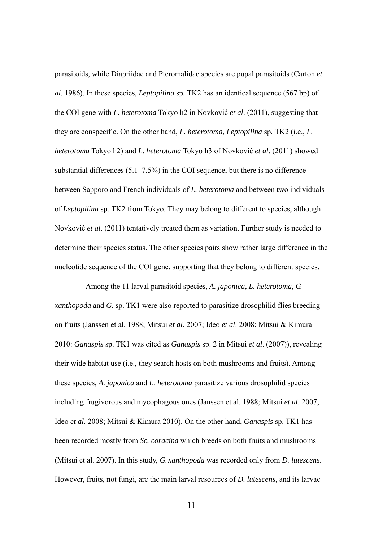parasitoids, while Diapriidae and Pteromalidae species are pupal parasitoids (Carton *et al*. 1986). In these species, *Leptopilina* sp*.* TK2 has an identical sequence (567 bp) of the COI gene with *L. heterotoma* Tokyo h2 in Novković *et al*. (2011), suggesting that they are conspecific. On the other hand, *L. heterotoma*, *Leptopilina* sp*.* TK2 (i.e., *L. heterotoma* Tokyo h2) and *L. heterotoma* Tokyo h3 of Novković *et al*. (2011) showed substantial differences (5.1*–*7.5%) in the COI sequence, but there is no difference between Sapporo and French individuals of *L. heterotoma* and between two individuals of *Leptopilina* sp*.* TK2 from Tokyo. They may belong to different to species, although Novković *et al*. (2011) tentatively treated them as variation. Further study is needed to determine their species status. The other species pairs show rather large difference in the nucleotide sequence of the COI gene, supporting that they belong to different species.

Among the 11 larval parasitoid species, *A. japonica*, *L. heterotoma*, *G. xanthopoda* and *G*. sp. TK1 were also reported to parasitize drosophilid flies breeding on fruits (Janssen et al. 1988; Mitsui *et al*. 2007; Ideo *et al*. 2008; Mitsui & Kimura 2010: *Ganaspis* sp. TK1 was cited as *Ganaspis* sp. 2 in Mitsui *et al*. (2007)), revealing their wide habitat use (i.e., they search hosts on both mushrooms and fruits). Among these species, *A. japonica* and *L. heterotoma* parasitize various drosophilid species including frugivorous and mycophagous ones (Janssen et al. 1988; Mitsui *et al*. 2007; Ideo *et al*. 2008; Mitsui & Kimura 2010). On the other hand, *Ganaspis* sp. TK1 has been recorded mostly from *Sc. coracina* which breeds on both fruits and mushrooms (Mitsui et al. 2007). In this study, *G. xanthopoda* was recorded only from *D. lutescens*. However, fruits, not fungi, are the main larval resources of *D. lutescens*, and its larvae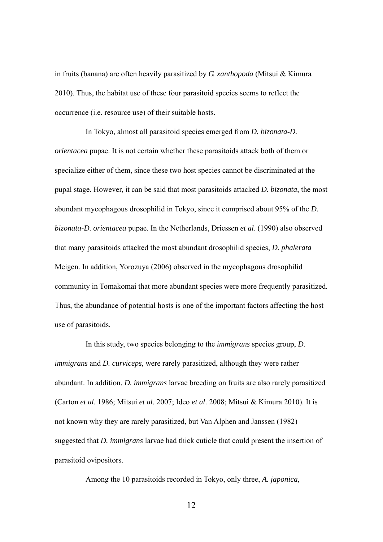in fruits (banana) are often heavily parasitized by *G. xanthopoda* (Mitsui & Kimura 2010). Thus, the habitat use of these four parasitoid species seems to reflect the occurrence (i.e. resource use) of their suitable hosts.

In Tokyo, almost all parasitoid species emerged from *D. bizonata*-*D. orientacea* pupae. It is not certain whether these parasitoids attack both of them or specialize either of them, since these two host species cannot be discriminated at the pupal stage. However, it can be said that most parasitoids attacked *D. bizonata*, the most abundant mycophagous drosophilid in Tokyo, since it comprised about 95% of the *D. bizonata*-*D. orientacea* pupae. In the Netherlands, Driessen *et al*. (1990) also observed that many parasitoids attacked the most abundant drosophilid species, *D. phalerata* Meigen. In addition, Yorozuya (2006) observed in the mycophagous drosophilid community in Tomakomai that more abundant species were more frequently parasitized. Thus, the abundance of potential hosts is one of the important factors affecting the host use of parasitoids.

In this study, two species belonging to the *immigrans* species group, *D. immigrans* and *D. curviceps*, were rarely parasitized, although they were rather abundant. In addition, *D. immigrans* larvae breeding on fruits are also rarely parasitized (Carton *et al*. 1986; Mitsui *et al*. 2007; Ideo *et al*. 2008; Mitsui & Kimura 2010). It is not known why they are rarely parasitized, but Van Alphen and Janssen (1982) suggested that *D. immigrans* larvae had thick cuticle that could present the insertion of parasitoid ovipositors.

Among the 10 parasitoids recorded in Tokyo, only three, *A. japonica*,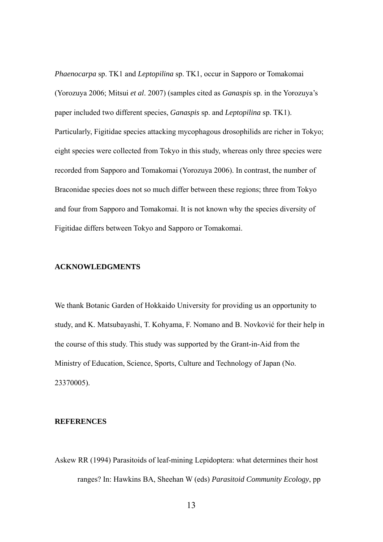*Phaenocarpa* sp. TK1 and *Leptopilina* sp. TK1, occur in Sapporo or Tomakomai (Yorozuya 2006; Mitsui *et al*. 2007) (samples cited as *Ganaspis* sp. in the Yorozuya's paper included two different species, *Ganaspis* sp. and *Leptopilina* sp. TK1). Particularly, Figitidae species attacking mycophagous drosophilids are richer in Tokyo; eight species were collected from Tokyo in this study, whereas only three species were recorded from Sapporo and Tomakomai (Yorozuya 2006). In contrast, the number of Braconidae species does not so much differ between these regions; three from Tokyo and four from Sapporo and Tomakomai. It is not known why the species diversity of Figitidae differs between Tokyo and Sapporo or Tomakomai.

# **ACKNOWLEDGMENTS**

We thank Botanic Garden of Hokkaido University for providing us an opportunity to study, and K. Matsubayashi, T. Kohyama, F. Nomano and B. Novković for their help in the course of this study. This study was supported by the Grant-in-Aid from the Ministry of Education, Science, Sports, Culture and Technology of Japan (No. 23370005).

# **REFERENCES**

Askew RR (1994) Parasitoids of leaf-mining Lepidoptera: what determines their host ranges? In: Hawkins BA, Sheehan W (eds) *Parasitoid Community Ecology*, pp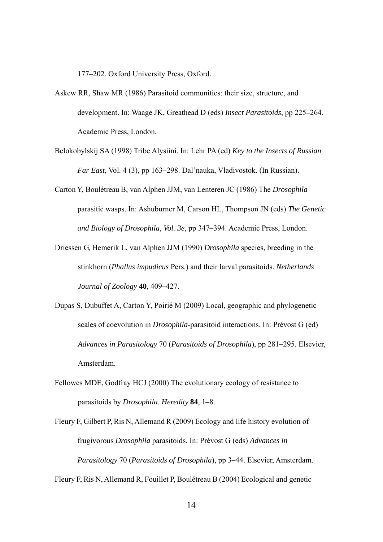177*–*202. Oxford University Press, Oxford.

- Askew RR, Shaw MR (1986) Parasitoid communities: their size, structure, and development. In: Waage JK, Greathead D (eds) *Insect Parasitoids*, pp 225*–*264. Academic Press, London.
- Belokobylskij SA (1998) Tribe Alysiini. In: Lehr PA (ed) *Key to the Insects of Russian Far East*, Vol. 4 (3), pp 163*–*298. Dal'nauka, Vladivostok. (In Russian).
- Carton Y, Boulétreau B, van Alphen JJM, van Lenteren JC (1986) The *Drosophila* parasitic wasps. In: Ashuburner M, Carson HL, Thompson JN (eds) *The Genetic and Biology of Drosophila*, *Vol. 3e*, pp 347*–*394. Academic Press, London.
- Driessen G, Hemerik L, van Alphen JJM (1990) *Drosophila* species, breeding in the stinkhorn (*Phallus impudicus* Pers.) and their larval parasitoids. *Netherlands Journal of Zoology* **40**, 409*–*427.
- Dupas S, Dubuffet A, Carton Y, Poirié M (2009) Local, geographic and phylogenetic scales of coevolution in *Drosophila*-parasitoid interactions. In: Prévost G (ed) *Advances in Parasitology* 70 (*Parasitoids of Drosophila*), pp 281*–*295. Elsevier, Amsterdam.
- Fellowes MDE, Godfray HCJ (2000) The evolutionary ecology of resistance to parasitoids by *Drosophila*. *Heredity* **84**, 1*–*8.

Fleury F, Gilbert P, Ris N, Allemand R (2009) Ecology and life history evolution of frugivorous *Drosophila* parasitoids. In: Prévost G (eds) *Advances in Parasitology* 70 (*Parasitoids of Drosophila*), pp 3*–*44. Elsevier, Amsterdam.

Fleury F, Ris N, Allemand R, Fouillet P, Boulétreau B (2004) Ecological and genetic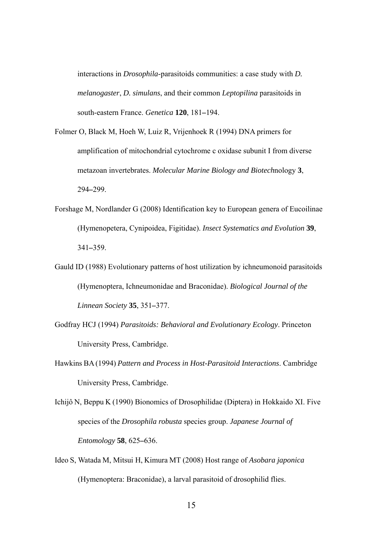interactions in *Drosophila*-parasitoids communities: a case study with *D. melanogaster*, *D. simulans*, and their common *Leptopilina* parasitoids in south-eastern France. *Genetica* **120**, 181*–*194.

- Folmer O, Black M, Hoeh W, Luiz R, Vrijenhoek R (1994) DNA primers for amplification of mitochondrial cytochrome c oxidase subunit I from diverse metazoan invertebrates. *Molecular Marine Biology and Biotech*nology **3**, 294*–*299.
- Forshage M, Nordlander G (2008) Identification key to European genera of Eucoilinae (Hymenopetera, Cynipoidea, Figitidae). *Insect Systematics and Evolution* **39**, 341*–*359.
- Gauld ID (1988) Evolutionary patterns of host utilization by ichneumonoid parasitoids (Hymenoptera, Ichneumonidae and Braconidae). *Biological Journal of the Linnean Society* **35**, 351*–*377.
- Godfray HCJ (1994) *Parasitoids: Behavioral and Evolutionary Ecology*. Princeton University Press, Cambridge.
- Hawkins BA(1994) *Pattern and Process in Host-Parasitoid Interactions*. Cambridge University Press, Cambridge.

Ichijô N, Beppu K (1990) Bionomics of Drosophilidae (Diptera) in Hokkaido XI. Five species of the *Drosophila robusta* species group. *Japanese Journal of Entomology* **58**, 625*–*636.

Ideo S, Watada M, Mitsui H, Kimura MT (2008) Host range of *Asobara japonica* (Hymenoptera: Braconidae), a larval parasitoid of drosophilid flies.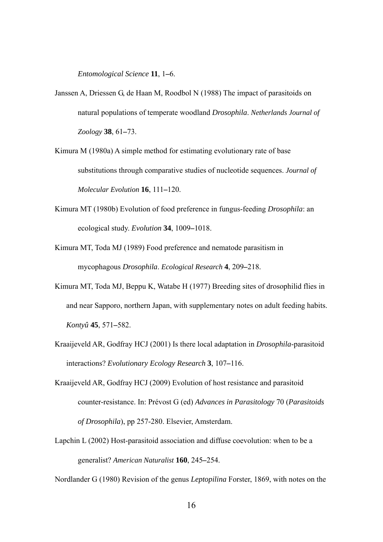*Entomological Science* **11**, 1*–*6.

- Janssen A, Driessen G, de Haan M, Roodbol N (1988) The impact of parasitoids on natural populations of temperate woodland *Drosophila*. *Netherlands Journal of Zoology* **38**, 61*–*73.
- Kimura M (1980a) A simple method for estimating evolutionary rate of base substitutions through comparative studies of nucleotide sequences. *Journal of Molecular Evolution* **16**, 111*–*120.
- Kimura MT (1980b) Evolution of food preference in fungus-feeding *Drosophila*: an ecological study. *Evolution* **34**, 1009*–*1018.
- Kimura MT, Toda MJ (1989) Food preference and nematode parasitism in mycophagous *Drosophila*. *Ecological Research* **4**, 209*–*218.
- Kimura MT, Toda MJ, Beppu K, Watabe H (1977) Breeding sites of drosophilid flies in and near Sapporo, northern Japan, with supplementary notes on adult feeding habits. *Kontyû* **45**, 571*–*582.
- Kraaijeveld AR, Godfray HCJ (2001) Is there local adaptation in *Drosophila*-parasitoid interactions? *Evolutionary Ecology Research* **3**, 107*–*116.
- Kraaijeveld AR, Godfray HCJ (2009) Evolution of host resistance and parasitoid counter-resistance. In: Prévost G (ed) *Advances in Parasitology* 70 (*Parasitoids of Drosophila*), pp 257-280. Elsevier, Amsterdam.
- Lapchin L (2002) Host-parasitoid association and diffuse coevolution: when to be a generalist? *American Naturalist* **160**, 245*–*254.

Nordlander G (1980) Revision of the genus *Leptopilina* Forster, 1869, with notes on the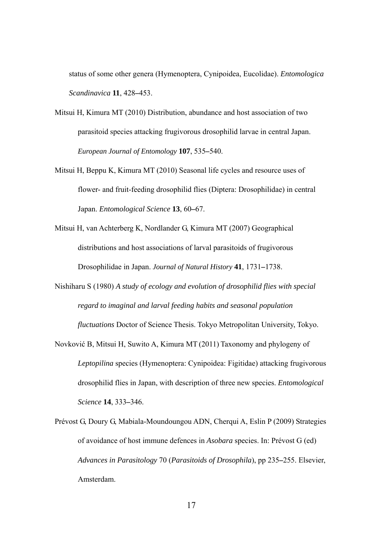status of some other genera (Hymenoptera, Cynipoidea, Eucolidae). *Entomologica Scandinavica* **11**, 428*–*453.

- Mitsui H, Kimura MT (2010) Distribution, abundance and host association of two parasitoid species attacking frugivorous drosophilid larvae in central Japan. *European Journal of Entomology* **107**, 535*–*540.
- Mitsui H, Beppu K, Kimura MT (2010) Seasonal life cycles and resource uses of flower- and fruit-feeding drosophilid flies (Diptera: Drosophilidae) in central Japan. *Entomological Science* **13**, 60*–*67.

Mitsui H, van Achterberg K, Nordlander G, Kimura MT (2007) Geographical distributions and host associations of larval parasitoids of frugivorous Drosophilidae in Japan. *Journal of Natural History* **41**, 1731*–*1738.

- Nishiharu S (1980) *A study of ecology and evolution of drosophilid flies with special regard to imaginal and larval feeding habits and seasonal population fluctuations* Doctor of Science Thesis. Tokyo Metropolitan University, Tokyo.
- Novković B, Mitsui H, Suwito A, Kimura MT (2011) Taxonomy and phylogeny of *Leptopilina* species (Hymenoptera: Cynipoidea: Figitidae) attacking frugivorous drosophilid flies in Japan, with description of three new species. *Entomological Science* **14**, 333*–*346.
- Prévost G, Doury G, Mabiala-Moundoungou ADN, Cherqui A, Eslin P (2009) Strategies of avoidance of host immune defences in *Asobara* species. In: Prévost G (ed) *Advances in Parasitology* 70 (*Parasitoids of Drosophila*), pp 235*–*255. Elsevier, Amsterdam.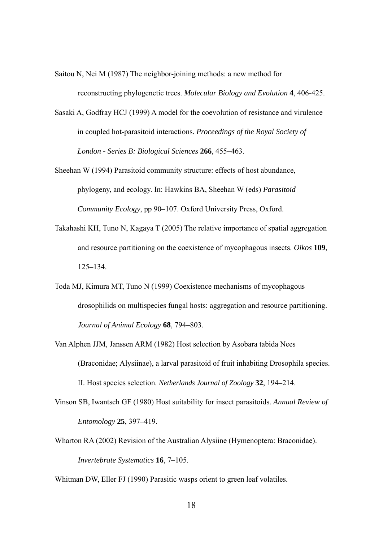Saitou N, Nei M (1987) The neighbor-joining methods: a new method for reconstructing phylogenetic trees. *Molecular Biology and Evolution* **4**, 406-425.

Sasaki A, Godfray HCJ (1999) A model for the coevolution of resistance and virulence in coupled hot-parasitoid interactions. *Proceedings of the Royal Society of London - Series B: Biological Sciences* **266**, 455*–*463.

Sheehan W (1994) Parasitoid community structure: effects of host abundance, phylogeny, and ecology. In: Hawkins BA, Sheehan W (eds) *Parasitoid Community Ecology*, pp 90*–*107. Oxford University Press, Oxford.

- Takahashi KH, Tuno N, Kagaya T (2005) The relative importance of spatial aggregation and resource partitioning on the coexistence of mycophagous insects. *Oikos* **109**, 125*–*134.
- Toda MJ, Kimura MT, Tuno N (1999) Coexistence mechanisms of mycophagous drosophilids on multispecies fungal hosts: aggregation and resource partitioning. *Journal of Animal Ecology* **68**, 794*–*803.
- Van Alphen JJM, Janssen ARM (1982) Host selection by Asobara tabida Nees (Braconidae; Alysiinae), a larval parasitoid of fruit inhabiting Drosophila species. II. Host species selection. *Netherlands Journal of Zoology* **32**, 194*–*214.
- Vinson SB, Iwantsch GF (1980) Host suitability for insect parasitoids. *Annual Review of Entomology* **25**, 397*–*419.
- Wharton RA (2002) Revision of the Australian Alysiine (Hymenoptera: Braconidae). *Invertebrate Systematics* **16**, 7*–*105.

Whitman DW, Eller FJ (1990) Parasitic wasps orient to green leaf volatiles.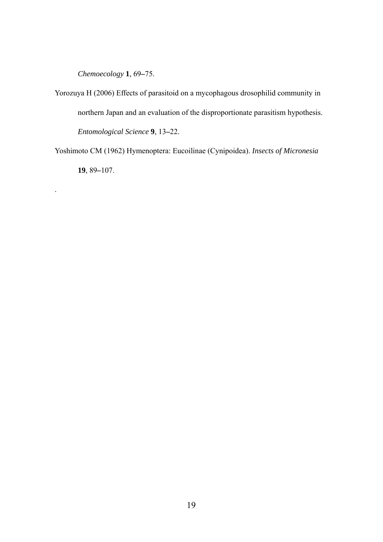*Chemoecology* **1**, 69*–*75.

.

Yorozuya H (2006) Effects of parasitoid on a mycophagous drosophilid community in northern Japan and an evaluation of the disproportionate parasitism hypothesis. *Entomological Science* **9**, 13*–*22.

Yoshimoto CM (1962) Hymenoptera: Eucoilinae (Cynipoidea). *Insects of Micronesia* **19**, 89*–*107.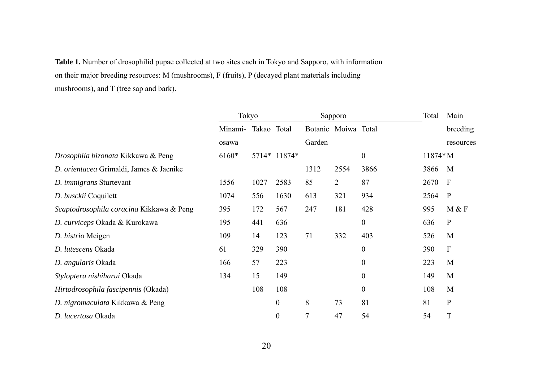**Table 1.** Number of drosophilid pupae collected at two sites each in Tokyo and Sapporo, with information on their major breeding resources: M (mushrooms), F (fruits), P (decayed plant materials including mushrooms), and T (tree sap and bark).

|                                          | Tokyo   |             |                  |                | Sapporo             |                  | Total     |                           |
|------------------------------------------|---------|-------------|------------------|----------------|---------------------|------------------|-----------|---------------------------|
|                                          | Minami- | Takao Total |                  |                | Botanic Moiwa Total |                  |           | breeding                  |
|                                          | osawa   |             |                  | Garden         |                     |                  |           | resources                 |
| Drosophila bizonata Kikkawa & Peng       | $6160*$ |             | 5714* 11874*     |                |                     | $\boldsymbol{0}$ | $11874*M$ |                           |
| D. orientacea Grimaldi, James & Jaenike  |         |             |                  | 1312           | 2554                | 3866             | 3866      | M                         |
| D. <i>immigrans</i> Sturtevant           | 1556    | 1027        | 2583             | 85             | 2                   | 87               | 2670      | $\mathbf{F}$              |
| D. busckii Coquilett                     | 1074    | 556         | 1630             | 613            | 321                 | 934              | 2564      | $\mathbf{P}$              |
| Scaptodrosophila coracina Kikkawa & Peng | 395     | 172         | 567              | 247            | 181                 | 428              | 995       | M & F                     |
| D. curviceps Okada & Kurokawa            | 195     | 441         | 636              |                |                     | $\boldsymbol{0}$ | 636       | $\mathbf{P}$              |
| D. histrio Meigen                        | 109     | 14          | 123              | 71             | 332                 | 403              | 526       | M                         |
| D. lutescens Okada                       | 61      | 329         | 390              |                |                     | $\boldsymbol{0}$ | 390       | $\boldsymbol{\mathrm{F}}$ |
| D. angularis Okada                       | 166     | 57          | 223              |                |                     | $\boldsymbol{0}$ | 223       | M                         |
| Styloptera nishiharui Okada              | 134     | 15          | 149              |                |                     | $\boldsymbol{0}$ | 149       | M                         |
| Hirtodrosophila fascipennis (Okada)      |         | 108         | 108              |                |                     | $\boldsymbol{0}$ | 108       | M                         |
| D. nigromaculata Kikkawa & Peng          |         |             | $\boldsymbol{0}$ | 8              | 73                  | 81               | 81        | $\mathbf{P}$              |
| D. lacertosa Okada                       |         |             | $\boldsymbol{0}$ | $\overline{7}$ | 47                  | 54               | 54        | T                         |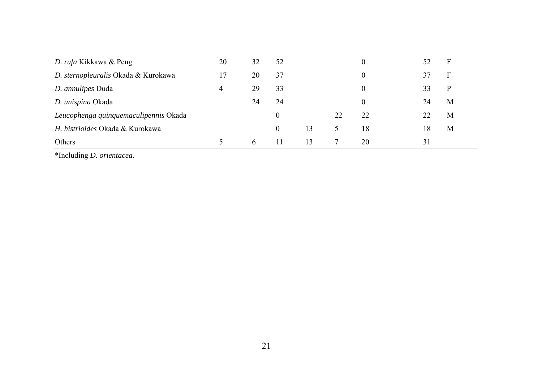| D. rufa Kikkawa & Peng                | 20 | 32           | 52             |    |    | $\overline{0}$ | 52 | F |
|---------------------------------------|----|--------------|----------------|----|----|----------------|----|---|
| D. sternopleuralis Okada & Kurokawa   | 17 | 20           | 37             |    |    | $\overline{0}$ | 37 | F |
| D. annulipes Duda                     | 4  | 29           | 33             |    |    | $\overline{0}$ | 33 | P |
| D. unispina Okada                     |    | 24           | 24             |    |    | $\overline{0}$ | 24 | M |
| Leucophenga quinquemaculipennis Okada |    |              | 0              |    | 22 | 22             |    | M |
| H. histrioides Okada & Kurokawa       |    |              | $\overline{0}$ | 13 | 5  | 18             | 18 | M |
| Others                                |    | <sub>6</sub> | 11             | 13 |    | 20             | 31 |   |

\*Including *D. orientacea*.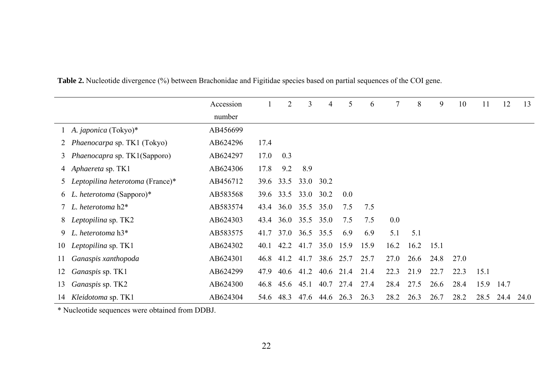|    |                                     | Accession |      | 2    | 3                   | 4              | 5                   | 6    | 7    | 8    | 9    | 10   | 11   | 12   | 13   |
|----|-------------------------------------|-----------|------|------|---------------------|----------------|---------------------|------|------|------|------|------|------|------|------|
|    |                                     | number    |      |      |                     |                |                     |      |      |      |      |      |      |      |      |
|    | 1 A. japonica (Tokyo)*              | AB456699  |      |      |                     |                |                     |      |      |      |      |      |      |      |      |
|    | 2 Phaenocarpa sp. TK1 (Tokyo)       | AB624296  | 17.4 |      |                     |                |                     |      |      |      |      |      |      |      |      |
| 3  | <i>Phaenocapra sp. TK1(Sapporo)</i> | AB624297  | 17.0 | 0.3  |                     |                |                     |      |      |      |      |      |      |      |      |
|    | 4 Aphaereta sp. TK1                 | AB624306  | 17.8 | 9.2  | 8.9                 |                |                     |      |      |      |      |      |      |      |      |
|    | 5 Leptopilina heterotoma (France)*  | AB456712  | 39.6 | 33.5 | 33.0 30.2           |                |                     |      |      |      |      |      |      |      |      |
|    | 6 L. heterotoma (Sapporo)*          | AB583568  |      |      | 39.6 33.5 33.0 30.2 |                | 0.0                 |      |      |      |      |      |      |      |      |
|    | L. heterotoma $h2^*$                | AB583574  |      |      | 43.4 36.0 35.5 35.0 |                | 7.5                 | 7.5  |      |      |      |      |      |      |      |
|    | 8 Leptopilina sp. TK2               | AB624303  | 43.4 |      | 36.0 35.5 35.0      |                | 7.5                 | 7.5  | 0.0  |      |      |      |      |      |      |
|    | 9 L. heterotoma $h3^*$              | AB583575  | 41.7 |      | 37.0 36.5 35.5      |                | 6.9                 | 6.9  | 5.1  | 5.1  |      |      |      |      |      |
|    | 10 Leptopilina sp. TK1              | AB624302  | 40.1 | 42.2 |                     | 41.7 35.0 15.9 |                     | 15.9 | 16.2 | 16.2 | 15.1 |      |      |      |      |
| 11 | Ganaspis xanthopoda                 | AB624301  | 46.8 | 41.2 | 41.7                | 38.6 25.7      |                     | 25.7 | 27.0 | 26.6 | 24.8 | 27.0 |      |      |      |
| 12 | Ganaspis sp. TK1                    | AB624299  | 47.9 |      |                     |                | 40.6 41.2 40.6 21.4 | 21.4 | 22.3 | 21.9 | 22.7 | 22.3 | 15.1 |      |      |
| 13 | Ganaspis sp. TK2                    | AB624300  | 46.8 | 45.6 | 45.1                |                | 40.7 27.4           | 27.4 | 28.4 | 27.5 | 26.6 | 28.4 | 15.9 | 14.7 |      |
|    | 14 Kleidotoma sp. TK1               | AB624304  | 54.6 | 48.3 | 47.6                | 44.6           | 26.3                | 26.3 | 28.2 | 26.3 | 26.7 | 28.2 | 28.5 | 24.4 | 24.0 |

**Table 2.** Nucleotide divergence (%) between Brachonidae and Figitidae species based on partial sequences of the COI gene.

\* Nucleotide sequences were obtained from DDBJ.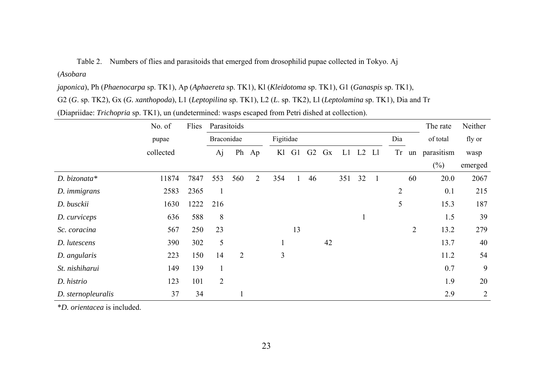Table 2. Numbers of flies and parasitoids that emerged from drosophilid pupae collected in Tokyo. Aj

# (*Asobara*

*japonica*), Ph (*Phaenocarpa* sp. TK1), Ap (*Aphaereta* sp. TK1), Kl (*Kleidotoma* sp. TK1), G1 (*Ganaspis* sp. TK1),

G2 (*G*. sp. TK2), Gx (*G. xanthopoda*), L1 (*Leptopilina* sp. TK1), L2 (*L*. sp. TK2), Ll (*Leptolamina* sp. TK1), Dia and Tr

(Diapriidae: *Trichopria* sp. TK1), un (undetermined: wasps escaped from Petri dished at collection).

|                     | No. of    | Flies | Parasitoids    |                |    |                |                  |                |    |     | The rate       | Neither      |                |                |            |         |  |
|---------------------|-----------|-------|----------------|----------------|----|----------------|------------------|----------------|----|-----|----------------|--------------|----------------|----------------|------------|---------|--|
|                     | pupae     |       |                | Braconidae     |    |                | Figitidae<br>Dia |                |    |     |                |              |                |                | of total   | fly or  |  |
|                     | collected |       | Aj             | Ph             | Ap | Kl             | G <sub>1</sub>   | G <sub>2</sub> | Gx | L1  | L <sub>2</sub> | Ll           | Tr             | un             | parasitism | wasp    |  |
|                     |           |       |                |                |    |                |                  |                |    |     |                |              |                |                | $(\%)$     | emerged |  |
| D. bizonata*        | 11874     | 7847  | 553            | 560            | 2  | 354            | 1                | 46             |    | 351 | 32             | $\mathbf{1}$ |                | 60             | 20.0       | 2067    |  |
| D. <i>immigrans</i> | 2583      | 2365  | $\mathbf{1}$   |                |    |                |                  |                |    |     |                |              | $\overline{2}$ |                | 0.1        | 215     |  |
| D. busckii          | 1630      | 1222  | 216            |                |    |                |                  |                |    |     |                |              | 5              |                | 15.3       | 187     |  |
| D. curviceps        | 636       | 588   | 8              |                |    |                |                  |                |    |     |                |              |                |                | 1.5        | 39      |  |
| Sc. coracina        | 567       | 250   | 23             |                |    |                | 13               |                |    |     |                |              |                | $\overline{2}$ | 13.2       | 279     |  |
| D. lutescens        | 390       | 302   | 5              |                |    |                |                  |                | 42 |     |                |              |                |                | 13.7       | 40      |  |
| D. angularis        | 223       | 150   | 14             | $\overline{2}$ |    | $\overline{3}$ |                  |                |    |     |                |              |                |                | 11.2       | 54      |  |
| St. nishiharui      | 149       | 139   | $\mathbf{1}$   |                |    |                |                  |                |    |     |                |              |                |                | 0.7        | 9       |  |
| D. histrio          | 123       | 101   | $\overline{2}$ |                |    |                |                  |                |    |     |                |              |                |                | 1.9        | 20      |  |
| D. sternopleuralis  | 37        | 34    |                |                |    |                |                  |                |    |     |                |              |                |                | 2.9        | 2       |  |

\**D. orientacea* is included.